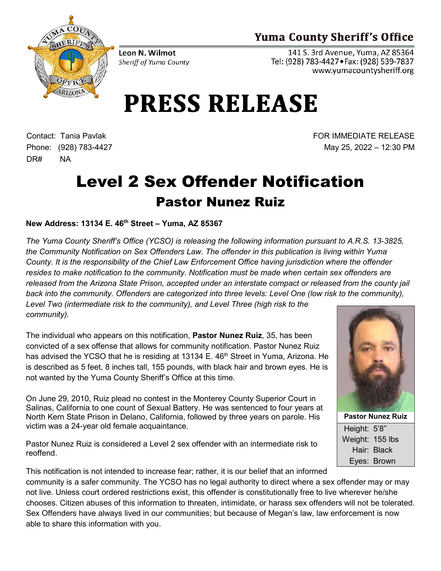## **Yuma County Sheriff's Office**



Leon N. Wilmot Sheriff of Yuma County

141 S. 3rd Avenue, Yuma, AZ 85364 Tel: (928) 783-4427 · Fax: (928) 539-7837 www.yumacountysheriff.org

## **PRESS RELEASE**

Contact: Tania Pavlak Phone: (928) 783-4427 DR# NA

FOR IMMEDIATE RELEASE May 25, 2022 – 12:30 PM

## Level 2 Sex Offender Notification Pastor Nunez Ruiz

## **New Address: 13134 E. 46th Street – Yuma, AZ 85367**

*The Yuma County Sheriff's Office (YCSO) is releasing the following information pursuant to A.R.S. 13-3825, the Community Notification on Sex Offenders Law. The offender in this publication is living within Yuma County. It is the responsibility of the Chief Law Enforcement Office having jurisdiction where the offender resides to make notification to the community. Notification must be made when certain sex offenders are released from the Arizona State Prison, accepted under an interstate compact or released from the county jail*  back into the community. Offenders are categorized into three levels: Level One (low risk to the community), *Level Two (intermediate risk to the community), and Level Three (high risk to the community).*

The individual who appears on this notification, **Pastor Nunez Ruiz**, 35, has been convicted of a sex offense that allows for community notification. Pastor Nunez Ruiz has advised the YCSO that he is residing at 13134 E. 46<sup>th</sup> Street in Yuma, Arizona. He is described as 5 feet, 8 inches tall, 155 pounds, with black hair and brown eyes. He is not wanted by the Yuma County Sheriff's Office at this time.

On June 29, 2010, Ruiz plead no contest in the Monterey County Superior Court in Salinas, California to one count of Sexual Battery. He was sentenced to four years at North Kern State Prison in Delano, California, followed by three years on parole. His victim was a 24-year old female acquaintance.

Pastor Nunez Ruiz is considered a Level 2 sex offender with an intermediate risk to reoffend.



**Pastor Nunez Ruiz** Height: 5'8" Weight: 155 lbs Hair: Black Eyes: Brown

This notification is not intended to increase fear; rather, it is our belief that an informed community is a safer community. The YCSO has no legal authority to direct where a sex offender may or may not live. Unless court ordered restrictions exist, this offender is constitutionally free to live wherever he/she chooses. Citizen abuses of this information to threaten, intimidate, or harass sex offenders will not be tolerated. Sex Offenders have always lived in our communities; but because of Megan's law, law enforcement is now able to share this information with you.